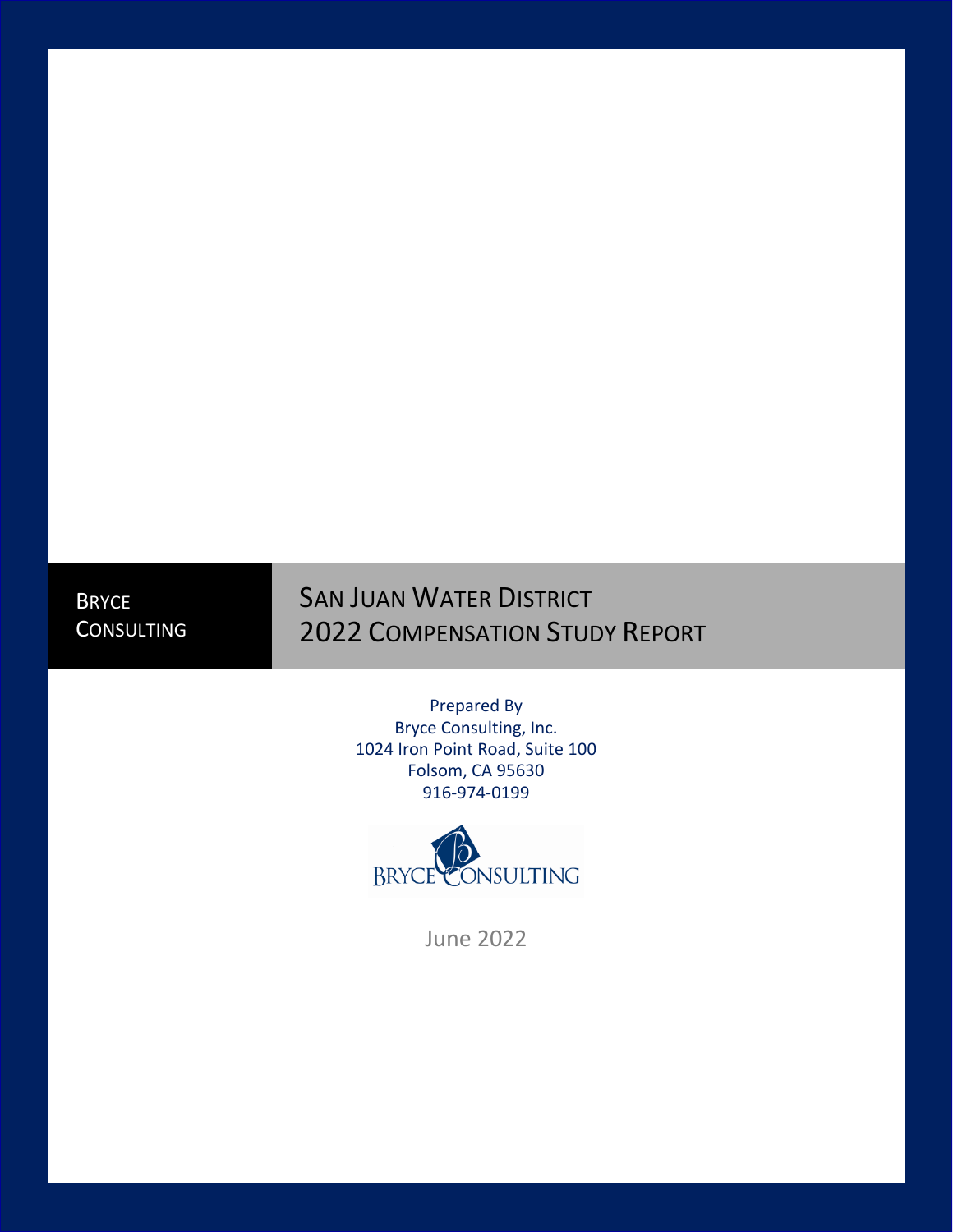**BRYCE** CONSULTING

# SAN JUAN WATER DISTRICT 2022 COMPENSATION STUDY REPORT

Prepared By Bryce Consulting, Inc. 1024 Iron Point Road, Suite 100 Folsom, CA 95630 916-974-0199



June 2022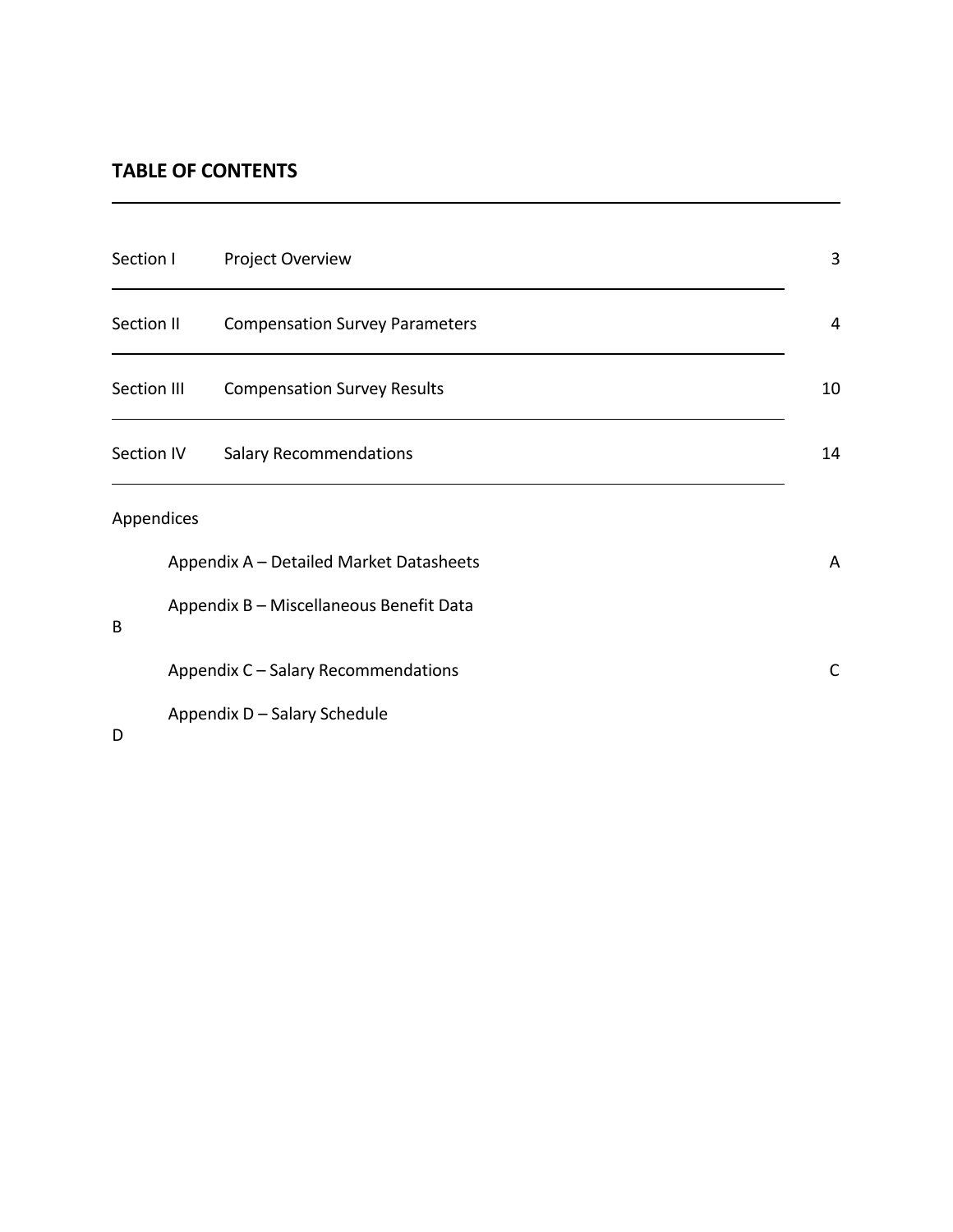# **TABLE OF CONTENTS**

| Section I          |                                         | Project Overview                        | 3  |
|--------------------|-----------------------------------------|-----------------------------------------|----|
| Section II         |                                         | <b>Compensation Survey Parameters</b>   | 4  |
| <b>Section III</b> |                                         | <b>Compensation Survey Results</b>      | 10 |
| <b>Section IV</b>  |                                         | <b>Salary Recommendations</b>           | 14 |
| Appendices         |                                         |                                         |    |
|                    |                                         | Appendix A - Detailed Market Datasheets | A  |
| B                  | Appendix B - Miscellaneous Benefit Data |                                         |    |
|                    |                                         | Appendix C - Salary Recommendations     | C  |
|                    |                                         | Appendix D - Salary Schedule            |    |

D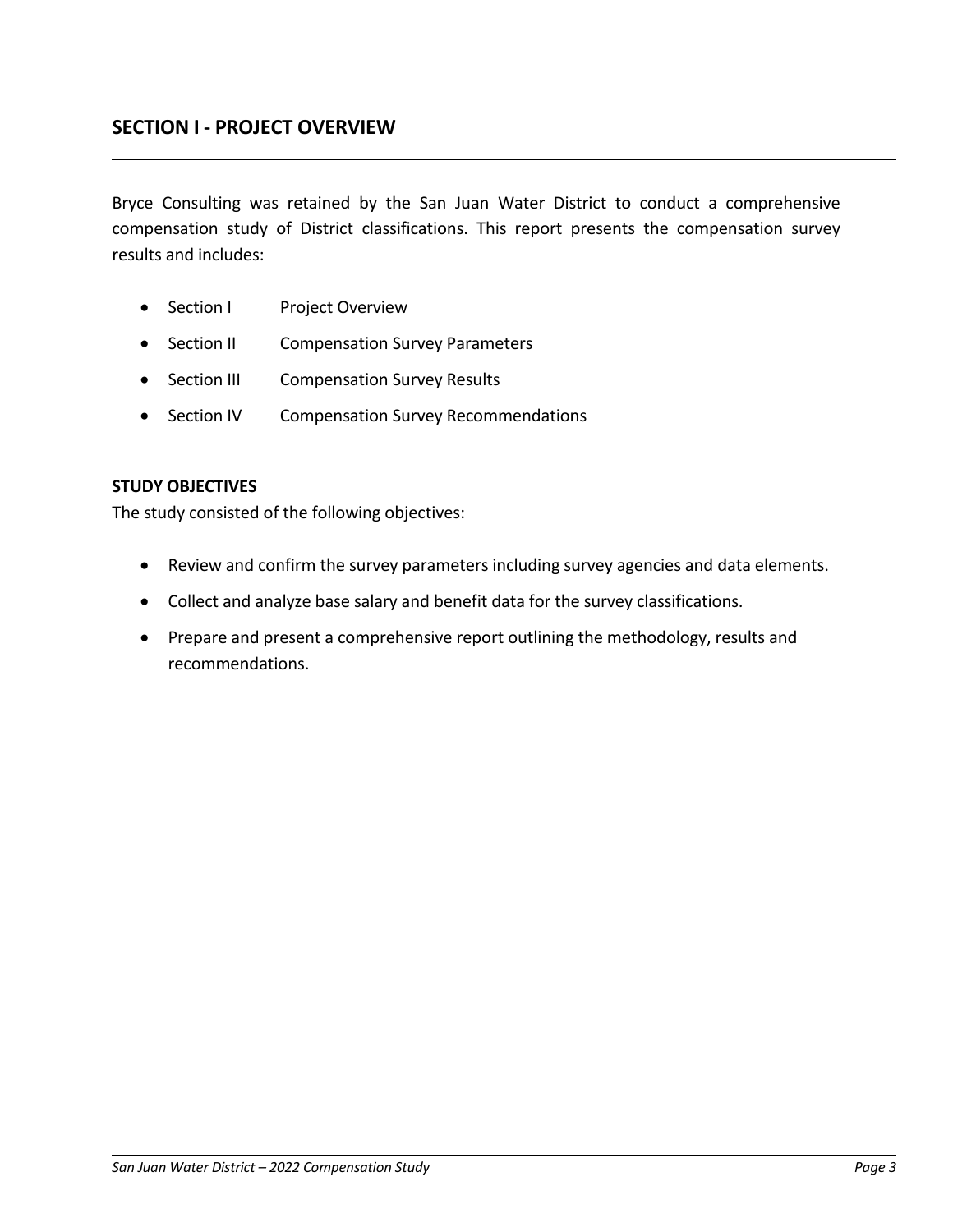## **SECTION I - PROJECT OVERVIEW**

Bryce Consulting was retained by the San Juan Water District to conduct a comprehensive compensation study of District classifications. This report presents the compensation survey results and includes:

- Section I Project Overview
- Section II Compensation Survey Parameters
- Section III Compensation Survey Results
- Section IV Compensation Survey Recommendations

#### **STUDY OBJECTIVES**

The study consisted of the following objectives:

- Review and confirm the survey parameters including survey agencies and data elements.
- Collect and analyze base salary and benefit data for the survey classifications.
- Prepare and present a comprehensive report outlining the methodology, results and recommendations.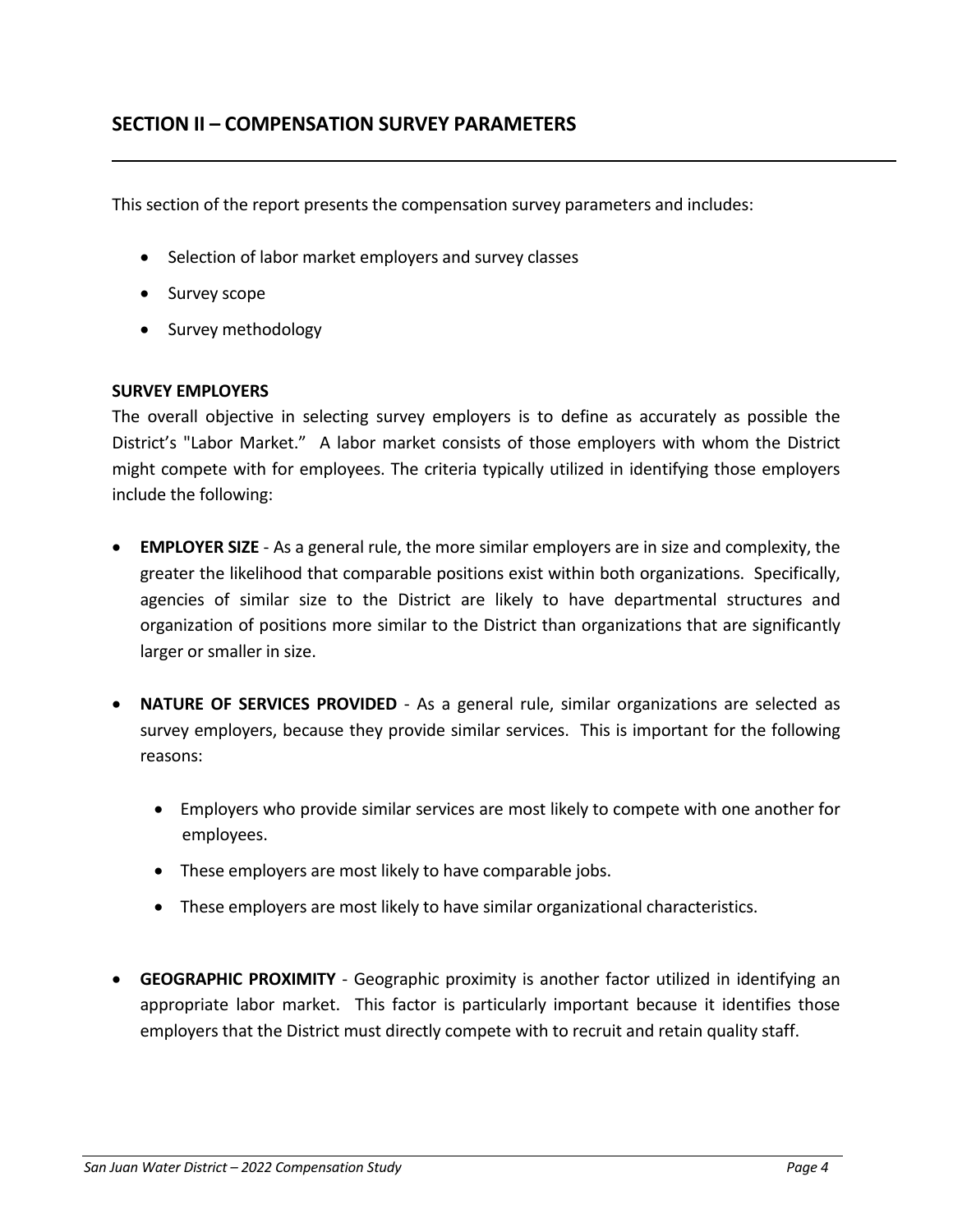This section of the report presents the compensation survey parameters and includes:

- Selection of labor market employers and survey classes
- Survey scope
- Survey methodology

#### **SURVEY EMPLOYERS**

The overall objective in selecting survey employers is to define as accurately as possible the District's "Labor Market." A labor market consists of those employers with whom the District might compete with for employees. The criteria typically utilized in identifying those employers include the following:

- **EMPLOYER SIZE** As a general rule, the more similar employers are in size and complexity, the greater the likelihood that comparable positions exist within both organizations. Specifically, agencies of similar size to the District are likely to have departmental structures and organization of positions more similar to the District than organizations that are significantly larger or smaller in size.
- **NATURE OF SERVICES PROVIDED** As a general rule, similar organizations are selected as survey employers, because they provide similar services. This is important for the following reasons:
	- Employers who provide similar services are most likely to compete with one another for employees.
	- These employers are most likely to have comparable jobs.
	- These employers are most likely to have similar organizational characteristics.
- **GEOGRAPHIC PROXIMITY** Geographic proximity is another factor utilized in identifying an appropriate labor market. This factor is particularly important because it identifies those employers that the District must directly compete with to recruit and retain quality staff.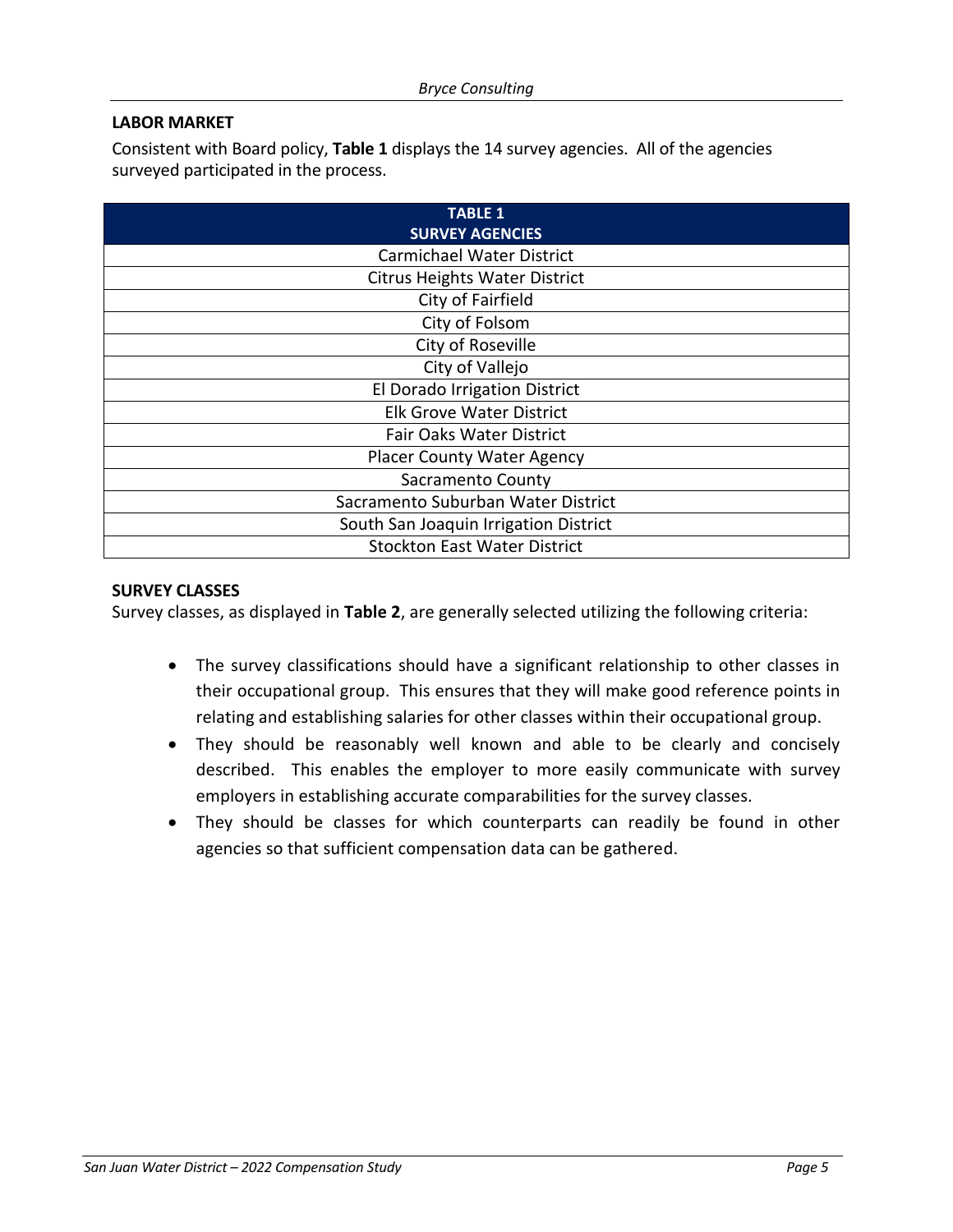## **LABOR MARKET**

Consistent with Board policy, **Table 1** displays the 14 survey agencies. All of the agencies surveyed participated in the process.

| <b>TABLE 1</b><br><b>SURVEY AGENCIES</b> |
|------------------------------------------|
| <b>Carmichael Water District</b>         |
| <b>Citrus Heights Water District</b>     |
| City of Fairfield                        |
| City of Folsom                           |
| City of Roseville                        |
| City of Vallejo                          |
| El Dorado Irrigation District            |
| <b>Elk Grove Water District</b>          |
| <b>Fair Oaks Water District</b>          |
| <b>Placer County Water Agency</b>        |
| Sacramento County                        |
| Sacramento Suburban Water District       |
| South San Joaquin Irrigation District    |
| <b>Stockton East Water District</b>      |

#### **SURVEY CLASSES**

Survey classes, as displayed in **Table 2**, are generally selected utilizing the following criteria:

- The survey classifications should have a significant relationship to other classes in their occupational group. This ensures that they will make good reference points in relating and establishing salaries for other classes within their occupational group.
- They should be reasonably well known and able to be clearly and concisely described. This enables the employer to more easily communicate with survey employers in establishing accurate comparabilities for the survey classes.
- They should be classes for which counterparts can readily be found in other agencies so that sufficient compensation data can be gathered.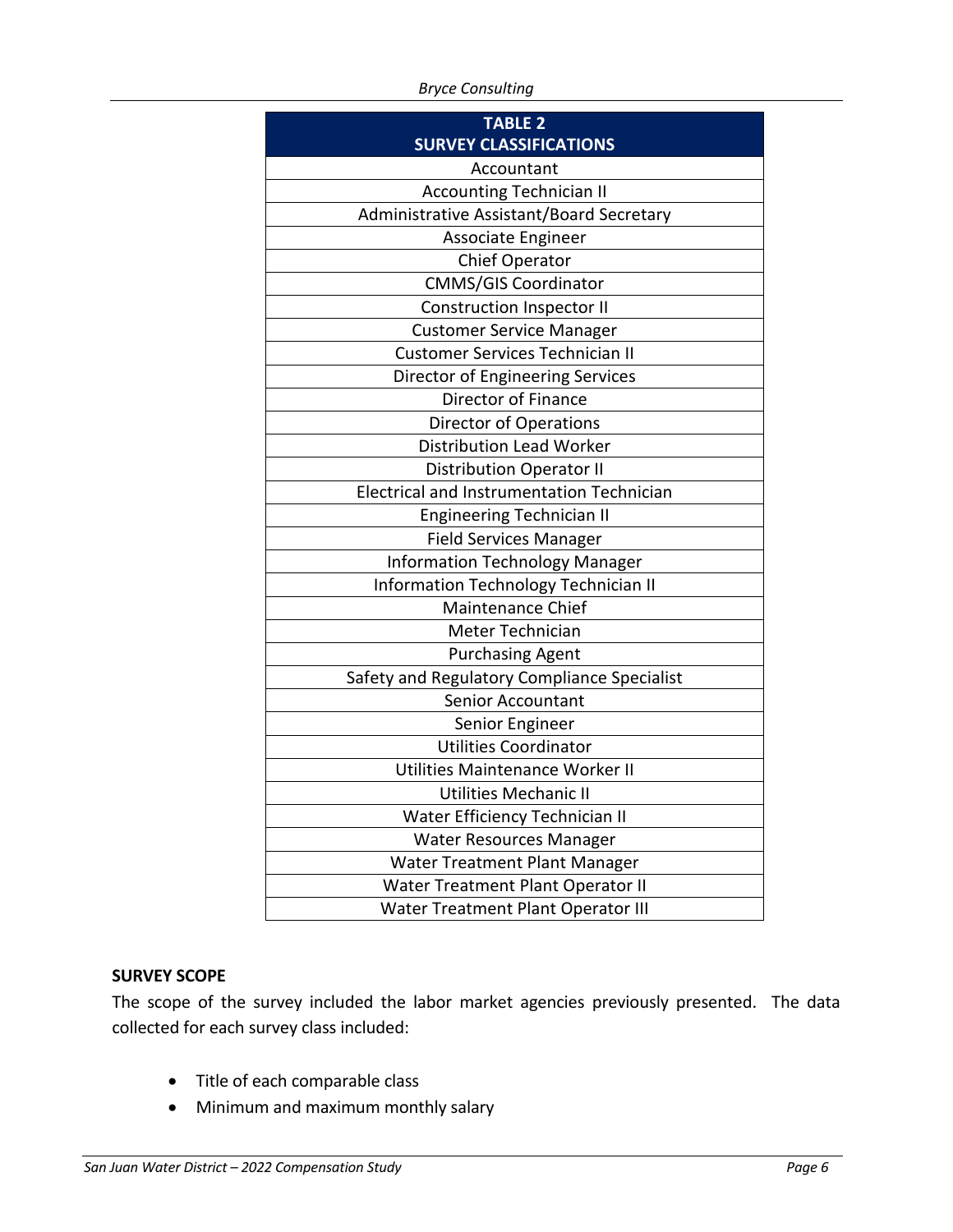*Bryce Consulting*

| <b>TABLE 2</b>                                   |  |  |  |  |
|--------------------------------------------------|--|--|--|--|
| <b>SURVEY CLASSIFICATIONS</b>                    |  |  |  |  |
| Accountant                                       |  |  |  |  |
| <b>Accounting Technician II</b>                  |  |  |  |  |
| Administrative Assistant/Board Secretary         |  |  |  |  |
| Associate Engineer                               |  |  |  |  |
| Chief Operator                                   |  |  |  |  |
| <b>CMMS/GIS Coordinator</b>                      |  |  |  |  |
| <b>Construction Inspector II</b>                 |  |  |  |  |
| <b>Customer Service Manager</b>                  |  |  |  |  |
| <b>Customer Services Technician II</b>           |  |  |  |  |
| Director of Engineering Services                 |  |  |  |  |
| Director of Finance                              |  |  |  |  |
| <b>Director of Operations</b>                    |  |  |  |  |
| <b>Distribution Lead Worker</b>                  |  |  |  |  |
| <b>Distribution Operator II</b>                  |  |  |  |  |
| <b>Electrical and Instrumentation Technician</b> |  |  |  |  |
| <b>Engineering Technician II</b>                 |  |  |  |  |
| <b>Field Services Manager</b>                    |  |  |  |  |
| <b>Information Technology Manager</b>            |  |  |  |  |
| Information Technology Technician II             |  |  |  |  |
| <b>Maintenance Chief</b>                         |  |  |  |  |
| Meter Technician                                 |  |  |  |  |
| <b>Purchasing Agent</b>                          |  |  |  |  |
| Safety and Regulatory Compliance Specialist      |  |  |  |  |
| Senior Accountant                                |  |  |  |  |
| Senior Engineer                                  |  |  |  |  |
| <b>Utilities Coordinator</b>                     |  |  |  |  |
| Utilities Maintenance Worker II                  |  |  |  |  |
| <b>Utilities Mechanic II</b>                     |  |  |  |  |
| Water Efficiency Technician II                   |  |  |  |  |
| Water Resources Manager                          |  |  |  |  |
| Water Treatment Plant Manager                    |  |  |  |  |
| Water Treatment Plant Operator II                |  |  |  |  |
| Water Treatment Plant Operator III               |  |  |  |  |

## **SURVEY SCOPE**

The scope of the survey included the labor market agencies previously presented. The data collected for each survey class included:

- Title of each comparable class
- Minimum and maximum monthly salary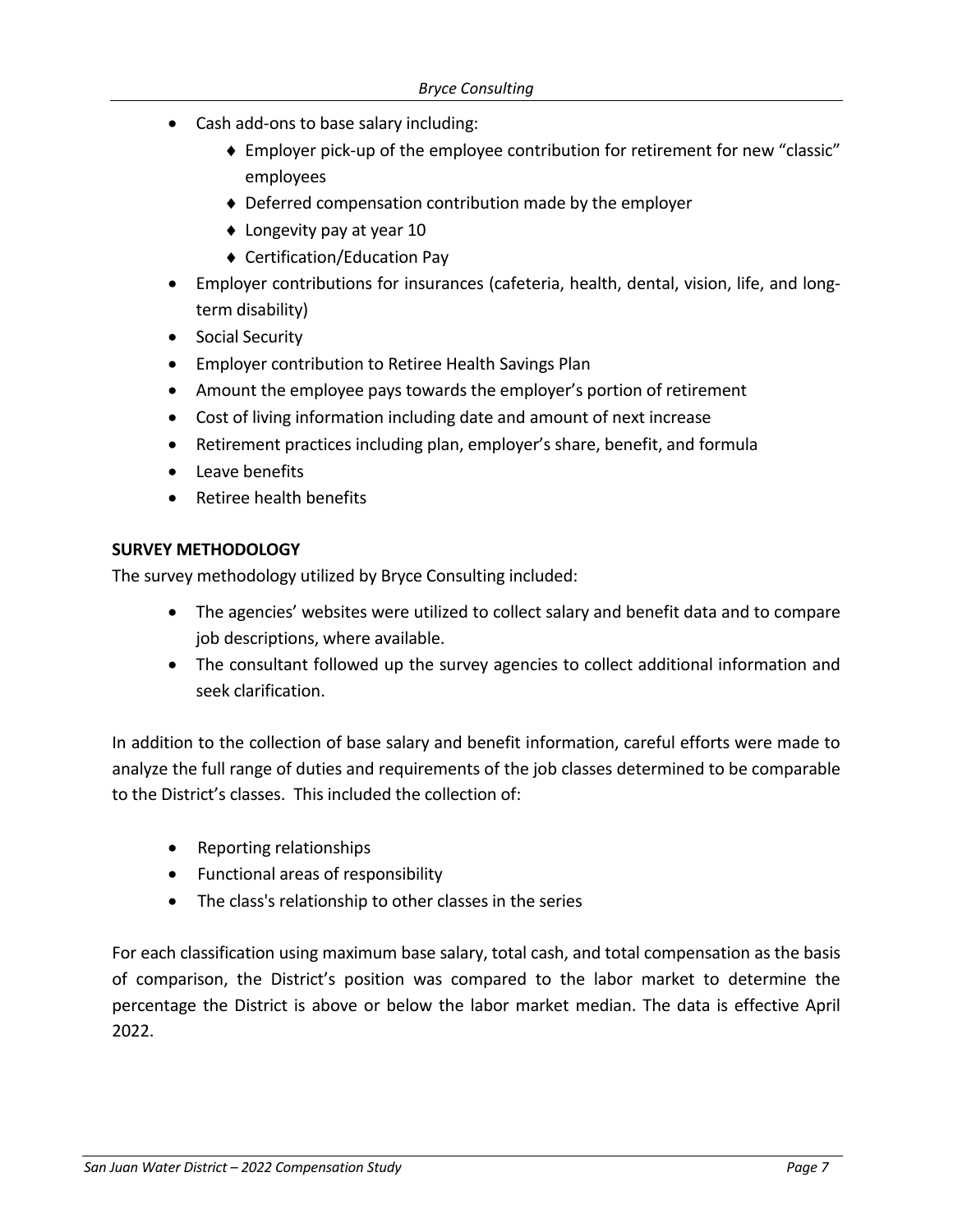- Cash add-ons to base salary including:
	- Employer pick-up of the employee contribution for retirement for new "classic" employees
	- Deferred compensation contribution made by the employer
	- ◆ Longevity pay at year 10
	- Certification/Education Pay
- Employer contributions for insurances (cafeteria, health, dental, vision, life, and longterm disability)
- Social Security
- Employer contribution to Retiree Health Savings Plan
- Amount the employee pays towards the employer's portion of retirement
- Cost of living information including date and amount of next increase
- Retirement practices including plan, employer's share, benefit, and formula
- Leave benefits
- Retiree health benefits

### **SURVEY METHODOLOGY**

The survey methodology utilized by Bryce Consulting included:

- The agencies' websites were utilized to collect salary and benefit data and to compare job descriptions, where available.
- The consultant followed up the survey agencies to collect additional information and seek clarification.

In addition to the collection of base salary and benefit information, careful efforts were made to analyze the full range of duties and requirements of the job classes determined to be comparable to the District's classes. This included the collection of:

- Reporting relationships
- Functional areas of responsibility
- The class's relationship to other classes in the series

For each classification using maximum base salary, total cash, and total compensation as the basis of comparison, the District's position was compared to the labor market to determine the percentage the District is above or below the labor market median. The data is effective April 2022.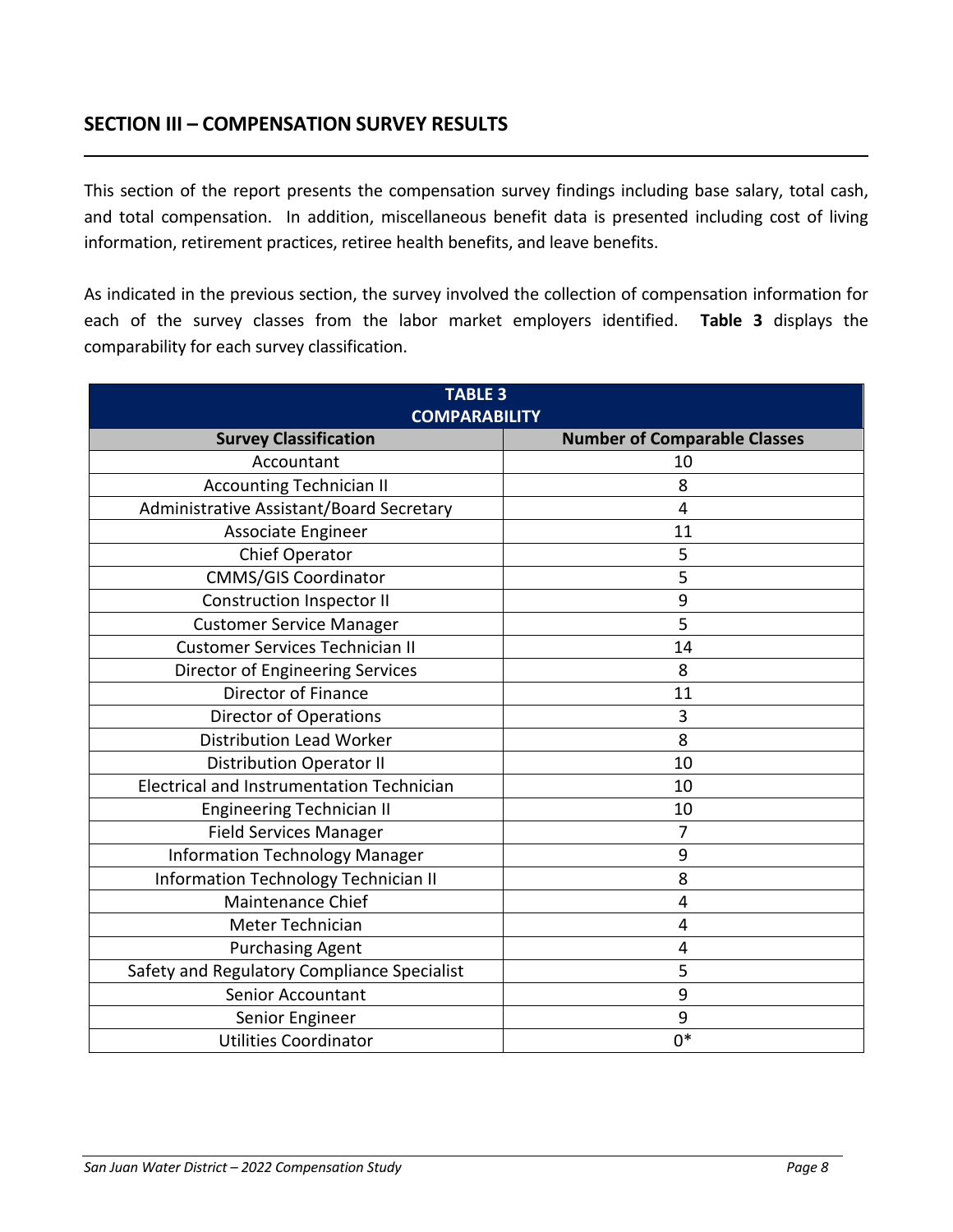## **SECTION III – COMPENSATION SURVEY RESULTS**

This section of the report presents the compensation survey findings including base salary, total cash, and total compensation. In addition, miscellaneous benefit data is presented including cost of living information, retirement practices, retiree health benefits, and leave benefits.

As indicated in the previous section, the survey involved the collection of compensation information for each of the survey classes from the labor market employers identified. **Table 3** displays the comparability for each survey classification.

| <b>TABLE 3</b><br><b>COMPARABILITY</b>      |                                     |  |  |
|---------------------------------------------|-------------------------------------|--|--|
| <b>Survey Classification</b>                | <b>Number of Comparable Classes</b> |  |  |
| Accountant                                  | 10                                  |  |  |
| <b>Accounting Technician II</b>             | 8                                   |  |  |
| Administrative Assistant/Board Secretary    | 4                                   |  |  |
| Associate Engineer                          | 11                                  |  |  |
| Chief Operator                              | 5                                   |  |  |
| <b>CMMS/GIS Coordinator</b>                 | 5                                   |  |  |
| <b>Construction Inspector II</b>            | 9                                   |  |  |
| <b>Customer Service Manager</b>             | 5                                   |  |  |
| <b>Customer Services Technician II</b>      | 14                                  |  |  |
| Director of Engineering Services            | 8                                   |  |  |
| Director of Finance                         | 11                                  |  |  |
| <b>Director of Operations</b>               | 3                                   |  |  |
| <b>Distribution Lead Worker</b>             | 8                                   |  |  |
| <b>Distribution Operator II</b>             | 10                                  |  |  |
| Electrical and Instrumentation Technician   | 10                                  |  |  |
| <b>Engineering Technician II</b>            | 10                                  |  |  |
| <b>Field Services Manager</b>               | 7                                   |  |  |
| <b>Information Technology Manager</b>       | 9                                   |  |  |
| Information Technology Technician II        | 8                                   |  |  |
| Maintenance Chief                           | 4                                   |  |  |
| Meter Technician                            | $\overline{4}$                      |  |  |
| <b>Purchasing Agent</b>                     | 4                                   |  |  |
| Safety and Regulatory Compliance Specialist | 5                                   |  |  |
| <b>Senior Accountant</b>                    | 9                                   |  |  |
| Senior Engineer                             | 9                                   |  |  |
| <b>Utilities Coordinator</b>                | $0*$                                |  |  |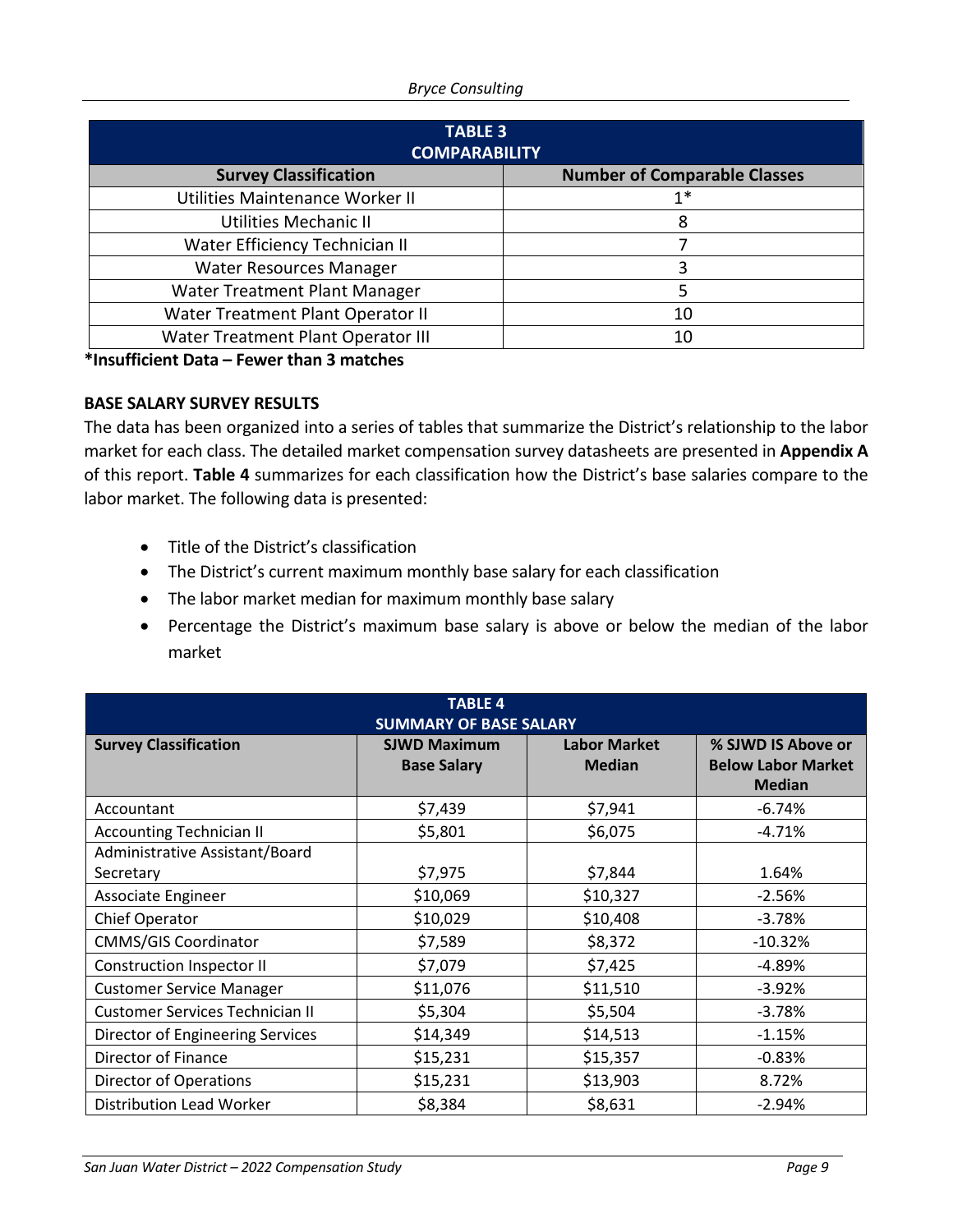#### *Bryce Consulting*

| <b>TABLE 3</b><br><b>COMPARABILITY</b> |                                     |  |  |
|----------------------------------------|-------------------------------------|--|--|
| <b>Survey Classification</b>           | <b>Number of Comparable Classes</b> |  |  |
| Utilities Maintenance Worker II        | 1*                                  |  |  |
| Utilities Mechanic II                  | 8                                   |  |  |
| Water Efficiency Technician II         |                                     |  |  |
| <b>Water Resources Manager</b>         | ੨                                   |  |  |
| Water Treatment Plant Manager          |                                     |  |  |
| Water Treatment Plant Operator II      | 10                                  |  |  |
| Water Treatment Plant Operator III     | 10                                  |  |  |

**\*Insufficient Data – Fewer than 3 matches**

### **BASE SALARY SURVEY RESULTS**

The data has been organized into a series of tables that summarize the District's relationship to the labor market for each class. The detailed market compensation survey datasheets are presented in **Appendix A** of this report. **Table 4** summarizes for each classification how the District's base salaries compare to the labor market. The following data is presented:

- Title of the District's classification
- The District's current maximum monthly base salary for each classification
- The labor market median for maximum monthly base salary
- Percentage the District's maximum base salary is above or below the median of the labor market

| <b>TABLE 4</b><br><b>SUMMARY OF BASE SALARY</b> |                                           |                                      |                                                                  |  |
|-------------------------------------------------|-------------------------------------------|--------------------------------------|------------------------------------------------------------------|--|
| <b>Survey Classification</b>                    | <b>SJWD Maximum</b><br><b>Base Salary</b> | <b>Labor Market</b><br><b>Median</b> | % SJWD IS Above or<br><b>Below Labor Market</b><br><b>Median</b> |  |
| Accountant                                      | \$7,439                                   | \$7,941                              | $-6.74%$                                                         |  |
| <b>Accounting Technician II</b>                 | \$5,801                                   | \$6,075                              | $-4.71%$                                                         |  |
| Administrative Assistant/Board                  |                                           |                                      |                                                                  |  |
| Secretary                                       | \$7,975                                   | \$7,844                              | 1.64%                                                            |  |
| Associate Engineer                              | \$10,069                                  | \$10,327                             | $-2.56%$                                                         |  |
| <b>Chief Operator</b>                           | \$10,029                                  | \$10,408                             | $-3.78%$                                                         |  |
| <b>CMMS/GIS Coordinator</b>                     | \$7,589                                   | \$8,372                              | $-10.32%$                                                        |  |
| Construction Inspector II                       | \$7,079                                   | \$7,425                              | $-4.89%$                                                         |  |
| <b>Customer Service Manager</b>                 | \$11,076                                  | \$11,510                             | $-3.92%$                                                         |  |
| <b>Customer Services Technician II</b>          | \$5,304                                   | \$5,504                              | $-3.78%$                                                         |  |
| Director of Engineering Services                | \$14,349                                  | \$14,513                             | $-1.15%$                                                         |  |
| Director of Finance                             | \$15,231                                  | \$15,357                             | $-0.83%$                                                         |  |
| Director of Operations                          | \$15,231                                  | \$13,903                             | 8.72%                                                            |  |
| <b>Distribution Lead Worker</b>                 | \$8,384                                   | \$8,631                              | $-2.94%$                                                         |  |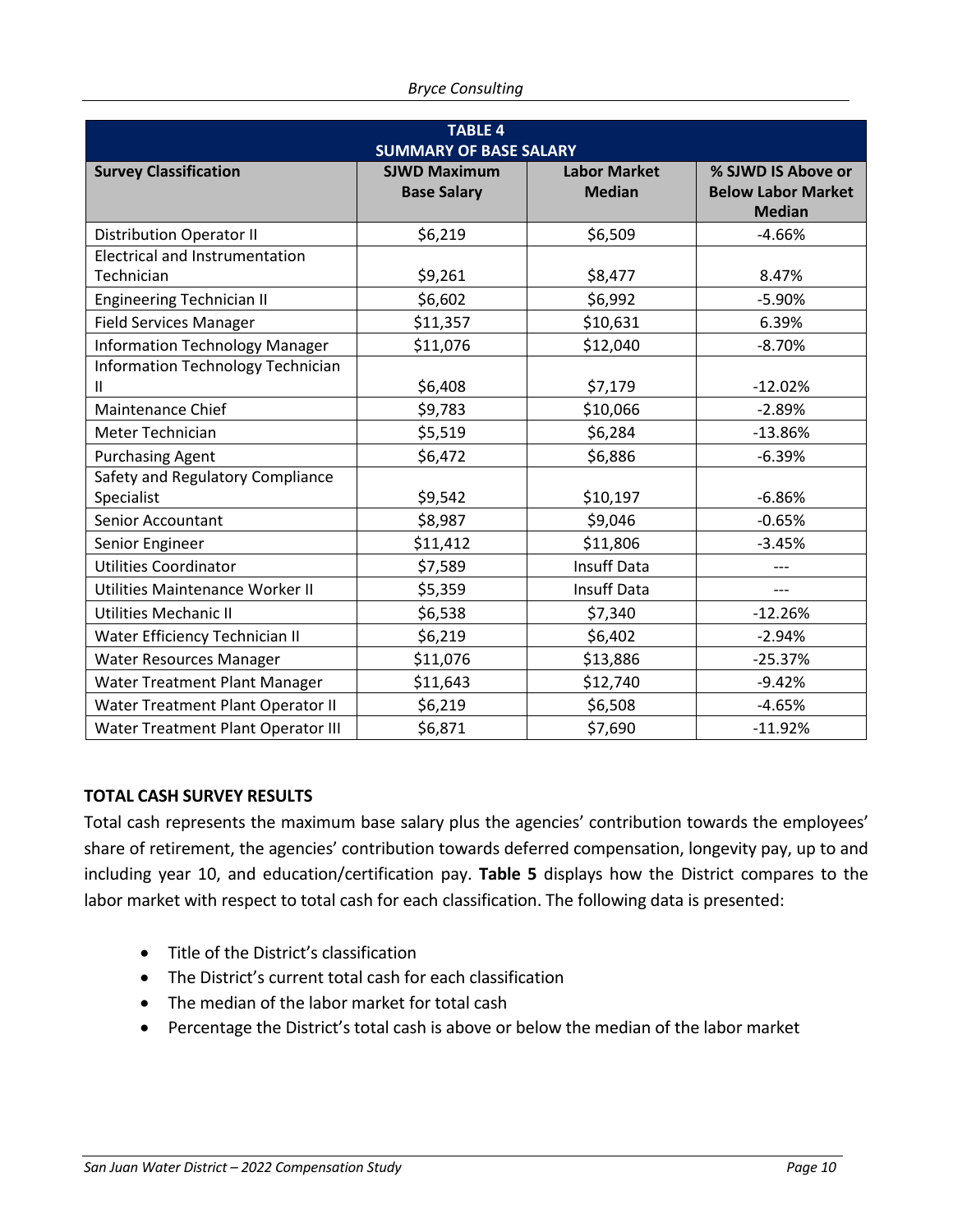| <b>TABLE 4</b><br><b>SUMMARY OF BASE SALARY</b> |                                           |                                      |                                                                  |  |
|-------------------------------------------------|-------------------------------------------|--------------------------------------|------------------------------------------------------------------|--|
| <b>Survey Classification</b>                    | <b>SJWD Maximum</b><br><b>Base Salary</b> | <b>Labor Market</b><br><b>Median</b> | % SJWD IS Above or<br><b>Below Labor Market</b><br><b>Median</b> |  |
| <b>Distribution Operator II</b>                 | \$6,219                                   | \$6,509                              | $-4.66%$                                                         |  |
| <b>Electrical and Instrumentation</b>           |                                           |                                      |                                                                  |  |
| Technician                                      | \$9,261                                   | \$8,477                              | 8.47%                                                            |  |
| <b>Engineering Technician II</b>                | \$6,602                                   | \$6,992                              | $-5.90%$                                                         |  |
| <b>Field Services Manager</b>                   | \$11,357                                  | \$10,631                             | 6.39%                                                            |  |
| <b>Information Technology Manager</b>           | \$11,076                                  | \$12,040                             | $-8.70%$                                                         |  |
| Information Technology Technician<br>Ш          | \$6,408                                   | \$7,179                              | $-12.02%$                                                        |  |
| Maintenance Chief                               | \$9,783                                   | \$10,066                             | $-2.89%$                                                         |  |
| Meter Technician                                | \$5,519                                   | \$6,284                              | $-13.86%$                                                        |  |
| <b>Purchasing Agent</b>                         | \$6,472                                   | \$6,886                              | $-6.39%$                                                         |  |
| Safety and Regulatory Compliance<br>Specialist  | \$9,542                                   | \$10,197                             | $-6.86%$                                                         |  |
| <b>Senior Accountant</b>                        | \$8,987                                   | \$9,046                              | $-0.65%$                                                         |  |
| Senior Engineer                                 | \$11,412                                  | \$11,806                             | $-3.45%$                                                         |  |
| <b>Utilities Coordinator</b>                    | \$7,589                                   | <b>Insuff Data</b>                   | $---$                                                            |  |
| Utilities Maintenance Worker II                 | \$5,359                                   | Insuff Data                          | $---$                                                            |  |
| Utilities Mechanic II                           | \$6,538                                   | \$7,340                              | $-12.26%$                                                        |  |
| Water Efficiency Technician II                  | \$6,219                                   | \$6,402                              | $-2.94%$                                                         |  |
| <b>Water Resources Manager</b>                  | \$11,076                                  | \$13,886                             | $-25.37%$                                                        |  |
| Water Treatment Plant Manager                   | \$11,643                                  | \$12,740                             | $-9.42%$                                                         |  |
| Water Treatment Plant Operator II               | \$6,219                                   | \$6,508                              | $-4.65%$                                                         |  |
| Water Treatment Plant Operator III              | \$6,871                                   | \$7,690                              | $-11.92%$                                                        |  |

## **TOTAL CASH SURVEY RESULTS**

Total cash represents the maximum base salary plus the agencies' contribution towards the employees' share of retirement, the agencies' contribution towards deferred compensation, longevity pay, up to and including year 10, and education/certification pay. **Table 5** displays how the District compares to the labor market with respect to total cash for each classification. The following data is presented:

- Title of the District's classification
- The District's current total cash for each classification
- The median of the labor market for total cash
- Percentage the District's total cash is above or below the median of the labor market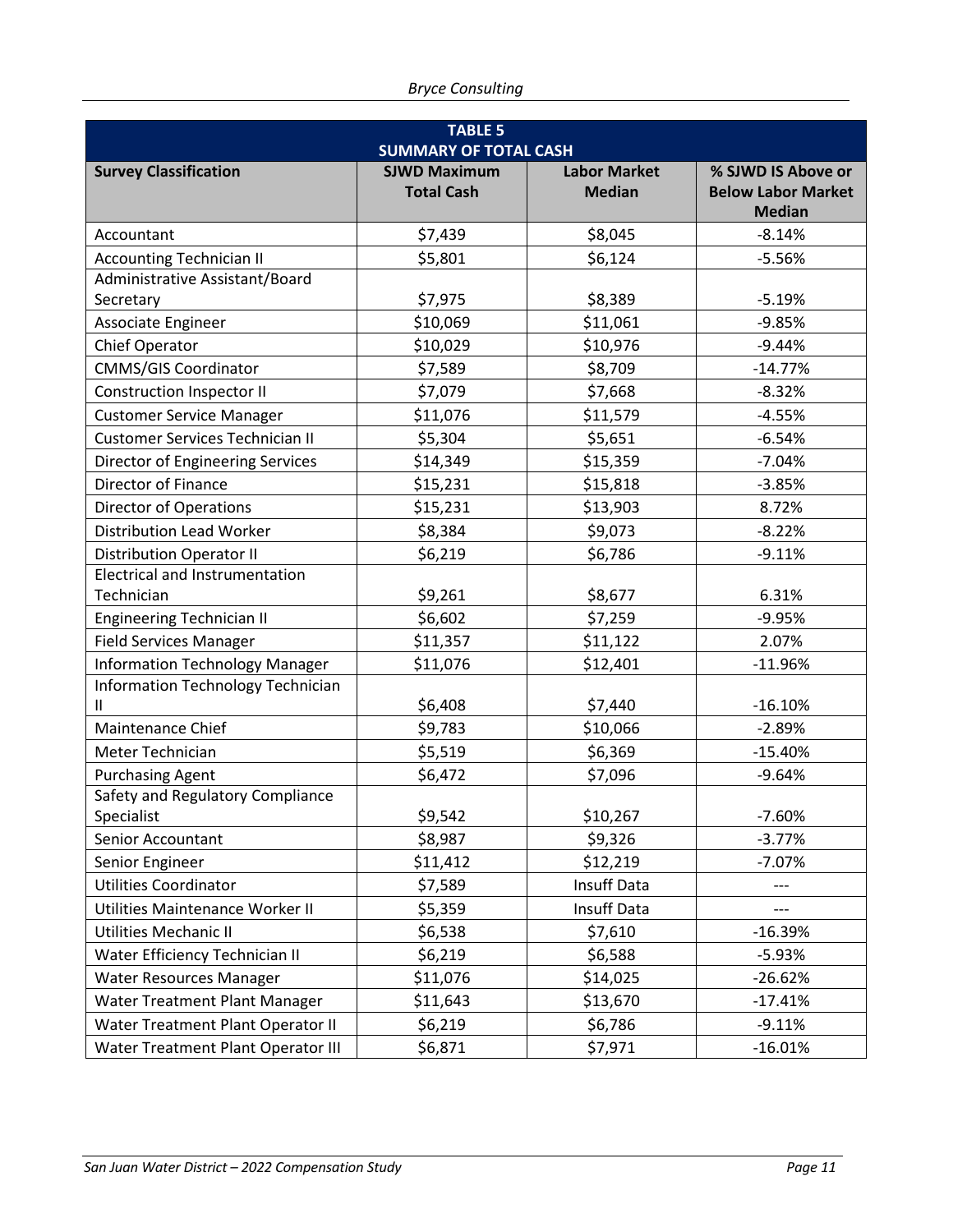| <b>TABLE 5</b><br><b>SUMMARY OF TOTAL CASH</b>    |                                          |                                      |                                                                  |  |
|---------------------------------------------------|------------------------------------------|--------------------------------------|------------------------------------------------------------------|--|
| <b>Survey Classification</b>                      | <b>SJWD Maximum</b><br><b>Total Cash</b> | <b>Labor Market</b><br><b>Median</b> | % SJWD IS Above or<br><b>Below Labor Market</b><br><b>Median</b> |  |
| Accountant                                        | \$7,439                                  | \$8,045                              | $-8.14%$                                                         |  |
| <b>Accounting Technician II</b>                   | \$5,801                                  | \$6,124                              | $-5.56%$                                                         |  |
| Administrative Assistant/Board                    |                                          |                                      |                                                                  |  |
| Secretary                                         | \$7,975                                  | \$8,389                              | $-5.19%$                                                         |  |
| Associate Engineer                                | \$10,069                                 | \$11,061                             | $-9.85%$                                                         |  |
| Chief Operator                                    | \$10,029                                 | \$10,976                             | $-9.44%$                                                         |  |
| <b>CMMS/GIS Coordinator</b>                       | \$7,589                                  | \$8,709                              | $-14.77%$                                                        |  |
| <b>Construction Inspector II</b>                  | \$7,079                                  | \$7,668                              | $-8.32%$                                                         |  |
| <b>Customer Service Manager</b>                   | \$11,076                                 | \$11,579                             | $-4.55%$                                                         |  |
| <b>Customer Services Technician II</b>            | \$5,304                                  | \$5,651                              | $-6.54%$                                                         |  |
| Director of Engineering Services                  | \$14,349                                 | \$15,359                             | $-7.04%$                                                         |  |
| <b>Director of Finance</b>                        | \$15,231                                 | \$15,818                             | $-3.85%$                                                         |  |
| <b>Director of Operations</b>                     | \$15,231                                 | \$13,903                             | 8.72%                                                            |  |
| <b>Distribution Lead Worker</b>                   | \$8,384                                  | \$9,073                              | $-8.22%$                                                         |  |
| <b>Distribution Operator II</b>                   | \$6,219                                  | \$6,786                              | $-9.11%$                                                         |  |
| <b>Electrical and Instrumentation</b>             |                                          |                                      |                                                                  |  |
| Technician                                        | \$9,261                                  | \$8,677                              | 6.31%                                                            |  |
| <b>Engineering Technician II</b>                  | \$6,602                                  | \$7,259                              | $-9.95%$                                                         |  |
| <b>Field Services Manager</b>                     | \$11,357                                 | \$11,122                             | 2.07%                                                            |  |
| <b>Information Technology Manager</b>             | \$11,076                                 | \$12,401                             | $-11.96%$                                                        |  |
| Information Technology Technician<br>$\mathbf{H}$ | \$6,408                                  | \$7,440                              | $-16.10%$                                                        |  |
| Maintenance Chief                                 | \$9,783                                  | \$10,066                             | $-2.89%$                                                         |  |
| Meter Technician                                  | \$5,519                                  | \$6,369                              | $-15.40%$                                                        |  |
| <b>Purchasing Agent</b>                           | \$6,472                                  | \$7,096                              | $-9.64%$                                                         |  |
| Safety and Regulatory Compliance<br>Specialist    | \$9,542                                  | \$10,267                             | -7.60%                                                           |  |
| Senior Accountant                                 | \$8,987                                  | \$9,326                              | $-3.77%$                                                         |  |
| Senior Engineer                                   | \$11,412                                 | \$12,219                             | $-7.07%$                                                         |  |
| <b>Utilities Coordinator</b>                      | \$7,589                                  | Insuff Data                          |                                                                  |  |
| Utilities Maintenance Worker II                   | \$5,359                                  | Insuff Data                          |                                                                  |  |
| Utilities Mechanic II                             | \$6,538                                  | \$7,610                              | $-16.39%$                                                        |  |
| Water Efficiency Technician II                    | \$6,219                                  | \$6,588                              | $-5.93%$                                                         |  |
| Water Resources Manager                           | \$11,076                                 | \$14,025                             | $-26.62%$                                                        |  |
| Water Treatment Plant Manager                     | \$11,643                                 | \$13,670                             | $-17.41%$                                                        |  |
| Water Treatment Plant Operator II                 | \$6,219                                  | \$6,786                              | $-9.11%$                                                         |  |
| Water Treatment Plant Operator III                | \$6,871                                  | \$7,971                              | $-16.01%$                                                        |  |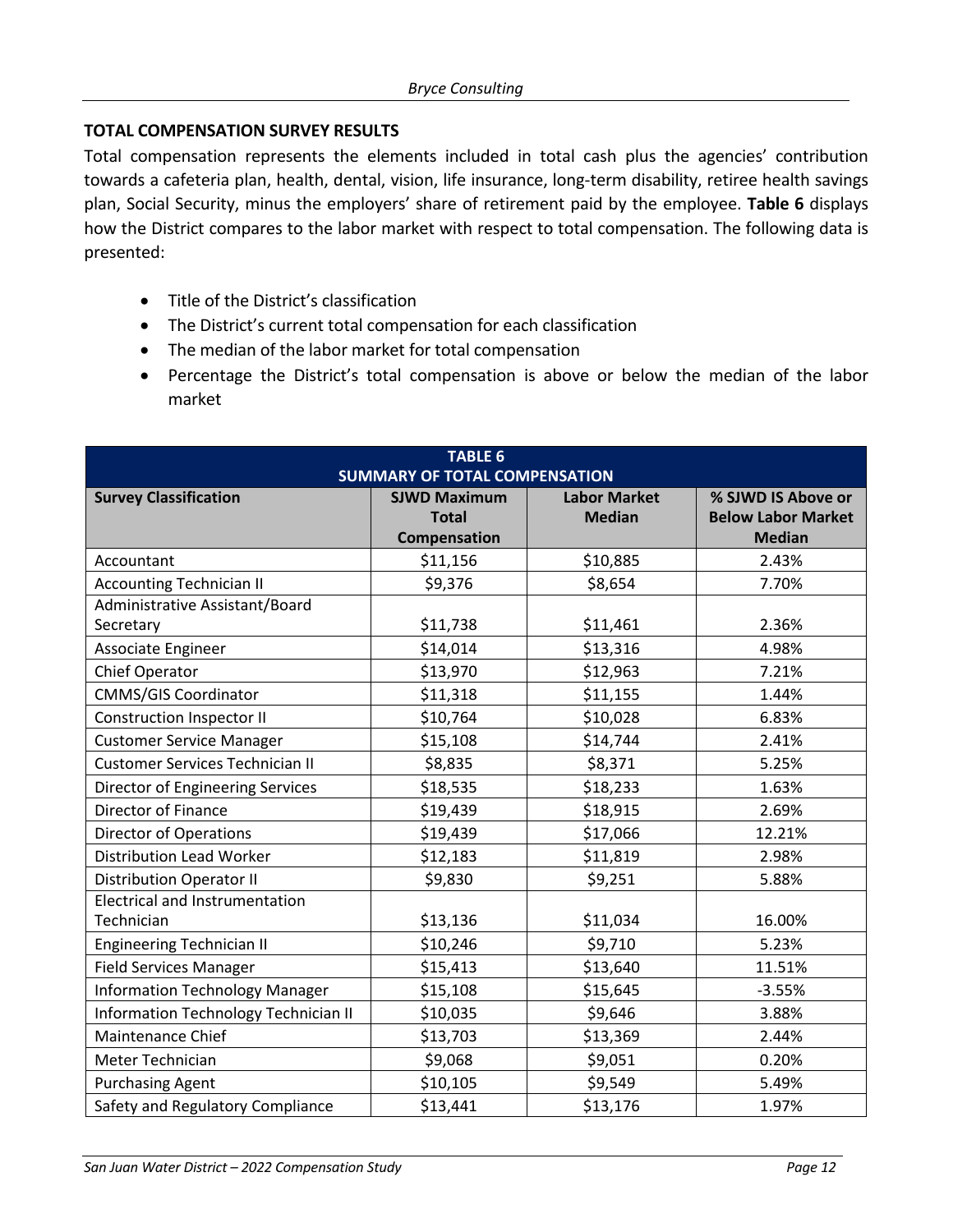## **TOTAL COMPENSATION SURVEY RESULTS**

Total compensation represents the elements included in total cash plus the agencies' contribution towards a cafeteria plan, health, dental, vision, life insurance, long-term disability, retiree health savings plan, Social Security, minus the employers' share of retirement paid by the employee. **Table 6** displays how the District compares to the labor market with respect to total compensation. The following data is presented:

- Title of the District's classification
- The District's current total compensation for each classification
- The median of the labor market for total compensation
- Percentage the District's total compensation is above or below the median of the labor market

| <b>TABLE 6</b>                                                                                                                           |              |               |                           |  |  |
|------------------------------------------------------------------------------------------------------------------------------------------|--------------|---------------|---------------------------|--|--|
| <b>SUMMARY OF TOTAL COMPENSATION</b><br><b>Survey Classification</b><br><b>SJWD Maximum</b><br><b>Labor Market</b><br>% SJWD IS Above or |              |               |                           |  |  |
|                                                                                                                                          | <b>Total</b> | <b>Median</b> | <b>Below Labor Market</b> |  |  |
|                                                                                                                                          | Compensation |               | <b>Median</b>             |  |  |
| Accountant                                                                                                                               | \$11,156     | \$10,885      | 2.43%                     |  |  |
| <b>Accounting Technician II</b>                                                                                                          | \$9,376      | \$8,654       | 7.70%                     |  |  |
| Administrative Assistant/Board                                                                                                           |              |               |                           |  |  |
| Secretary                                                                                                                                | \$11,738     | \$11,461      | 2.36%                     |  |  |
| Associate Engineer                                                                                                                       | \$14,014     | \$13,316      | 4.98%                     |  |  |
| Chief Operator                                                                                                                           | \$13,970     | \$12,963      | 7.21%                     |  |  |
| <b>CMMS/GIS Coordinator</b>                                                                                                              | \$11,318     | \$11,155      | 1.44%                     |  |  |
| <b>Construction Inspector II</b>                                                                                                         | \$10,764     | \$10,028      | 6.83%                     |  |  |
| <b>Customer Service Manager</b>                                                                                                          | \$15,108     | \$14,744      | 2.41%                     |  |  |
| <b>Customer Services Technician II</b>                                                                                                   | \$8,835      | \$8,371       | 5.25%                     |  |  |
| Director of Engineering Services                                                                                                         | \$18,535     | \$18,233      | 1.63%                     |  |  |
| Director of Finance                                                                                                                      | \$19,439     | \$18,915      | 2.69%                     |  |  |
| <b>Director of Operations</b>                                                                                                            | \$19,439     | \$17,066      | 12.21%                    |  |  |
| <b>Distribution Lead Worker</b>                                                                                                          | \$12,183     | \$11,819      | 2.98%                     |  |  |
| <b>Distribution Operator II</b>                                                                                                          | \$9,830      | \$9,251       | 5.88%                     |  |  |
| Electrical and Instrumentation                                                                                                           |              |               |                           |  |  |
| Technician                                                                                                                               | \$13,136     | \$11,034      | 16.00%                    |  |  |
| <b>Engineering Technician II</b>                                                                                                         | \$10,246     | \$9,710       | 5.23%                     |  |  |
| <b>Field Services Manager</b>                                                                                                            | \$15,413     | \$13,640      | 11.51%                    |  |  |
| <b>Information Technology Manager</b>                                                                                                    | \$15,108     | \$15,645      | $-3.55%$                  |  |  |
| Information Technology Technician II                                                                                                     | \$10,035     | \$9,646       | 3.88%                     |  |  |
| Maintenance Chief                                                                                                                        | \$13,703     | \$13,369      | 2.44%                     |  |  |
| Meter Technician                                                                                                                         | \$9,068      | \$9,051       | 0.20%                     |  |  |
| <b>Purchasing Agent</b>                                                                                                                  | \$10,105     | \$9,549       | 5.49%                     |  |  |
| Safety and Regulatory Compliance                                                                                                         | \$13,441     | \$13,176      | 1.97%                     |  |  |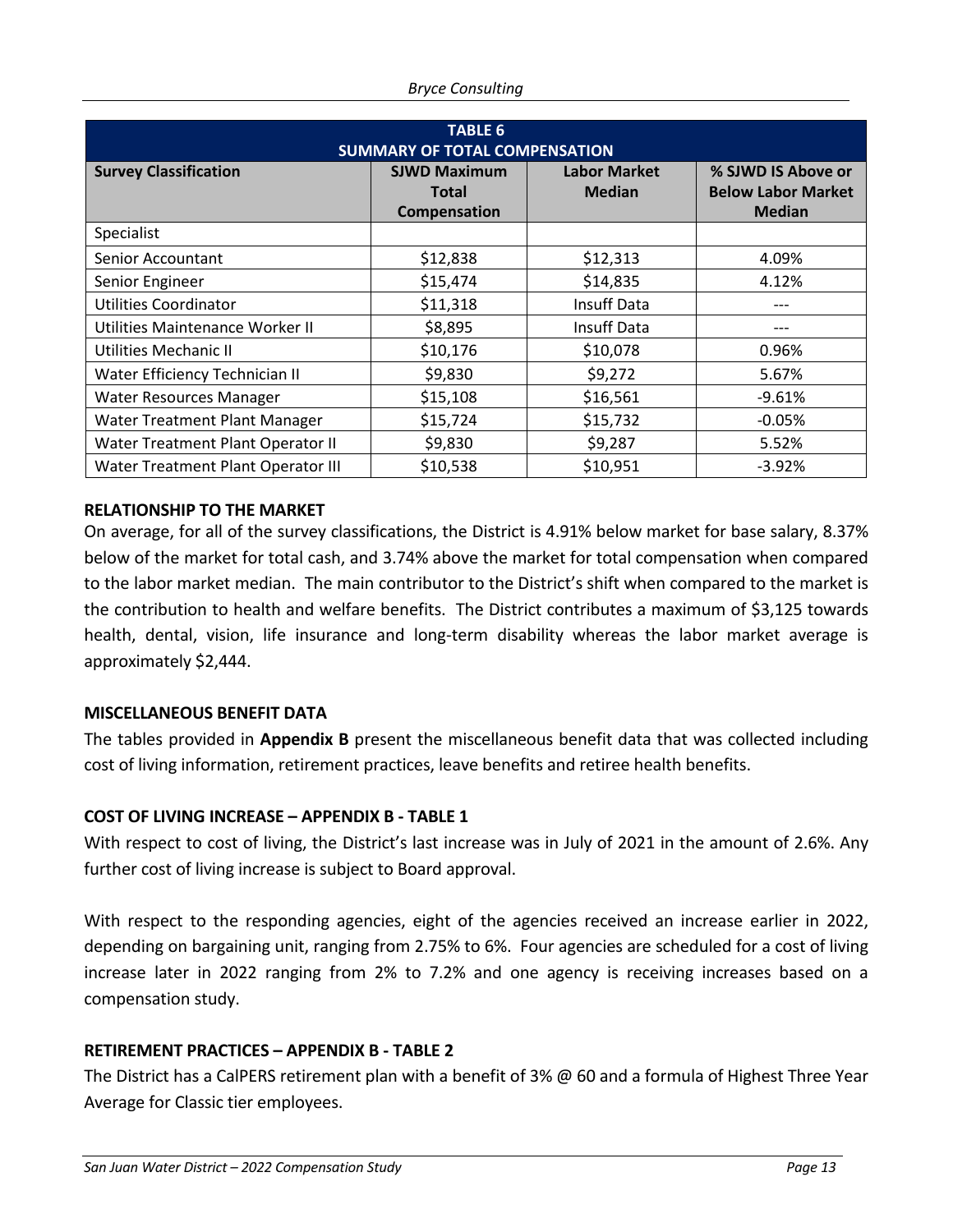| <b>TABLE 6</b><br><b>SUMMARY OF TOTAL COMPENSATION</b> |                                                     |                                      |                                                                  |  |
|--------------------------------------------------------|-----------------------------------------------------|--------------------------------------|------------------------------------------------------------------|--|
| <b>Survey Classification</b>                           | <b>SJWD Maximum</b><br><b>Total</b><br>Compensation | <b>Labor Market</b><br><b>Median</b> | % SJWD IS Above or<br><b>Below Labor Market</b><br><b>Median</b> |  |
| Specialist                                             |                                                     |                                      |                                                                  |  |
| Senior Accountant                                      | \$12,838                                            | \$12,313                             | 4.09%                                                            |  |
| Senior Engineer                                        | \$15,474                                            | \$14,835                             | 4.12%                                                            |  |
| Utilities Coordinator                                  | \$11,318                                            | Insuff Data                          |                                                                  |  |
| Utilities Maintenance Worker II                        | \$8,895                                             | <b>Insuff Data</b>                   | ---                                                              |  |
| Utilities Mechanic II                                  | \$10,176                                            | \$10,078                             | 0.96%                                                            |  |
| Water Efficiency Technician II                         | \$9,830                                             | \$9,272                              | 5.67%                                                            |  |
| <b>Water Resources Manager</b>                         | \$15,108                                            | \$16,561                             | $-9.61%$                                                         |  |
| Water Treatment Plant Manager                          | \$15,724                                            | \$15,732                             | $-0.05%$                                                         |  |
| Water Treatment Plant Operator II                      | \$9,830                                             | \$9,287                              | 5.52%                                                            |  |
| Water Treatment Plant Operator III                     | \$10,538                                            | \$10,951                             | $-3.92%$                                                         |  |

#### **RELATIONSHIP TO THE MARKET**

On average, for all of the survey classifications, the District is 4.91% below market for base salary, 8.37% below of the market for total cash, and 3.74% above the market for total compensation when compared to the labor market median. The main contributor to the District's shift when compared to the market is the contribution to health and welfare benefits. The District contributes a maximum of \$3,125 towards health, dental, vision, life insurance and long-term disability whereas the labor market average is approximately \$2,444.

#### **MISCELLANEOUS BENEFIT DATA**

The tables provided in **Appendix B** present the miscellaneous benefit data that was collected including cost of living information, retirement practices, leave benefits and retiree health benefits.

#### **COST OF LIVING INCREASE – APPENDIX B - TABLE 1**

With respect to cost of living, the District's last increase was in July of 2021 in the amount of 2.6%. Any further cost of living increase is subject to Board approval.

With respect to the responding agencies, eight of the agencies received an increase earlier in 2022, depending on bargaining unit, ranging from 2.75% to 6%. Four agencies are scheduled for a cost of living increase later in 2022 ranging from 2% to 7.2% and one agency is receiving increases based on a compensation study.

#### **RETIREMENT PRACTICES – APPENDIX B - TABLE 2**

The District has a CalPERS retirement plan with a benefit of 3% @ 60 and a formula of Highest Three Year Average for Classic tier employees.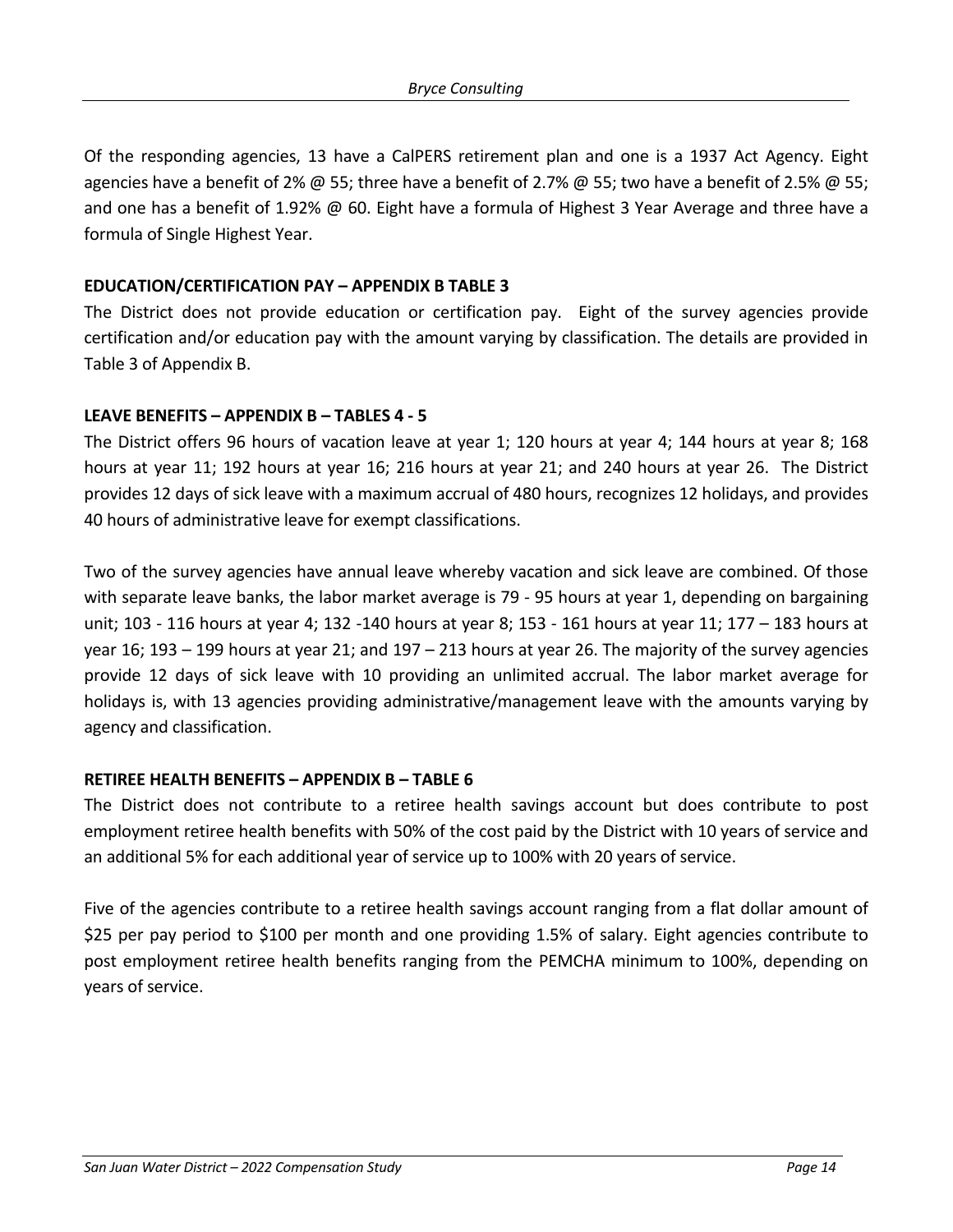Of the responding agencies, 13 have a CalPERS retirement plan and one is a 1937 Act Agency. Eight agencies have a benefit of 2%  $\omega$  55; three have a benefit of 2.7%  $\omega$  55; two have a benefit of 2.5%  $\omega$  55; and one has a benefit of 1.92% @ 60. Eight have a formula of Highest 3 Year Average and three have a formula of Single Highest Year.

#### **EDUCATION/CERTIFICATION PAY – APPENDIX B TABLE 3**

The District does not provide education or certification pay. Eight of the survey agencies provide certification and/or education pay with the amount varying by classification. The details are provided in Table 3 of Appendix B.

#### **LEAVE BENEFITS – APPENDIX B – TABLES 4 - 5**

The District offers 96 hours of vacation leave at year 1; 120 hours at year 4; 144 hours at year 8; 168 hours at year 11; 192 hours at year 16; 216 hours at year 21; and 240 hours at year 26. The District provides 12 days of sick leave with a maximum accrual of 480 hours, recognizes 12 holidays, and provides 40 hours of administrative leave for exempt classifications.

Two of the survey agencies have annual leave whereby vacation and sick leave are combined. Of those with separate leave banks, the labor market average is 79 - 95 hours at year 1, depending on bargaining unit; 103 - 116 hours at year 4; 132 -140 hours at year 8; 153 - 161 hours at year 11; 177 – 183 hours at year 16; 193 – 199 hours at year 21; and 197 – 213 hours at year 26. The majority of the survey agencies provide 12 days of sick leave with 10 providing an unlimited accrual. The labor market average for holidays is, with 13 agencies providing administrative/management leave with the amounts varying by agency and classification.

## **RETIREE HEALTH BENEFITS – APPENDIX B – TABLE 6**

The District does not contribute to a retiree health savings account but does contribute to post employment retiree health benefits with 50% of the cost paid by the District with 10 years of service and an additional 5% for each additional year of service up to 100% with 20 years of service.

Five of the agencies contribute to a retiree health savings account ranging from a flat dollar amount of \$25 per pay period to \$100 per month and one providing 1.5% of salary. Eight agencies contribute to post employment retiree health benefits ranging from the PEMCHA minimum to 100%, depending on years of service.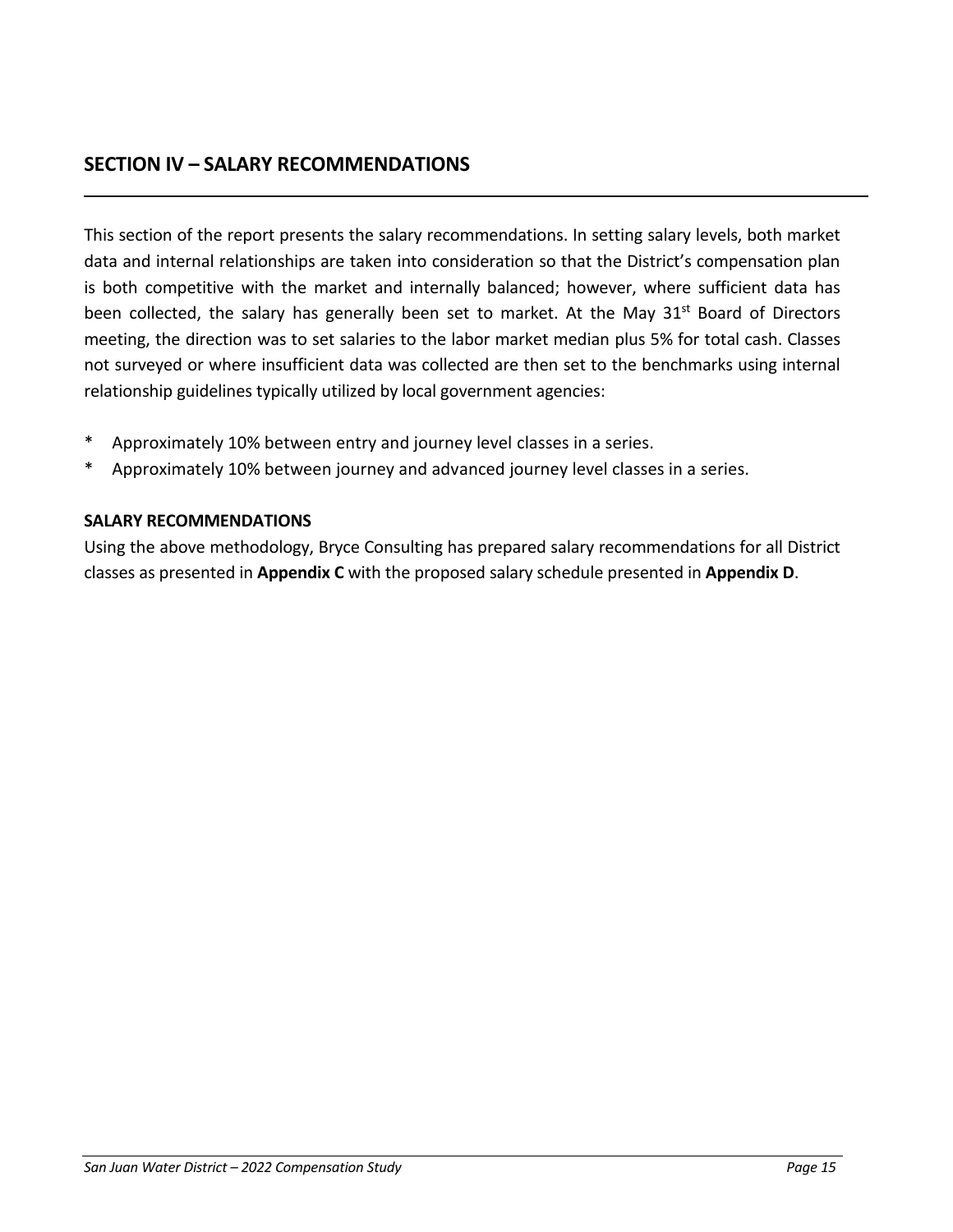# **SECTION IV – SALARY RECOMMENDATIONS**

This section of the report presents the salary recommendations. In setting salary levels, both market data and internal relationships are taken into consideration so that the District's compensation plan is both competitive with the market and internally balanced; however, where sufficient data has been collected, the salary has generally been set to market. At the May 31<sup>st</sup> Board of Directors meeting, the direction was to set salaries to the labor market median plus 5% for total cash. Classes not surveyed or where insufficient data was collected are then set to the benchmarks using internal relationship guidelines typically utilized by local government agencies:

- Approximately 10% between entry and journey level classes in a series.
- Approximately 10% between journey and advanced journey level classes in a series.

## **SALARY RECOMMENDATIONS**

Using the above methodology, Bryce Consulting has prepared salary recommendations for all District classes as presented in **Appendix C** with the proposed salary schedule presented in **Appendix D**.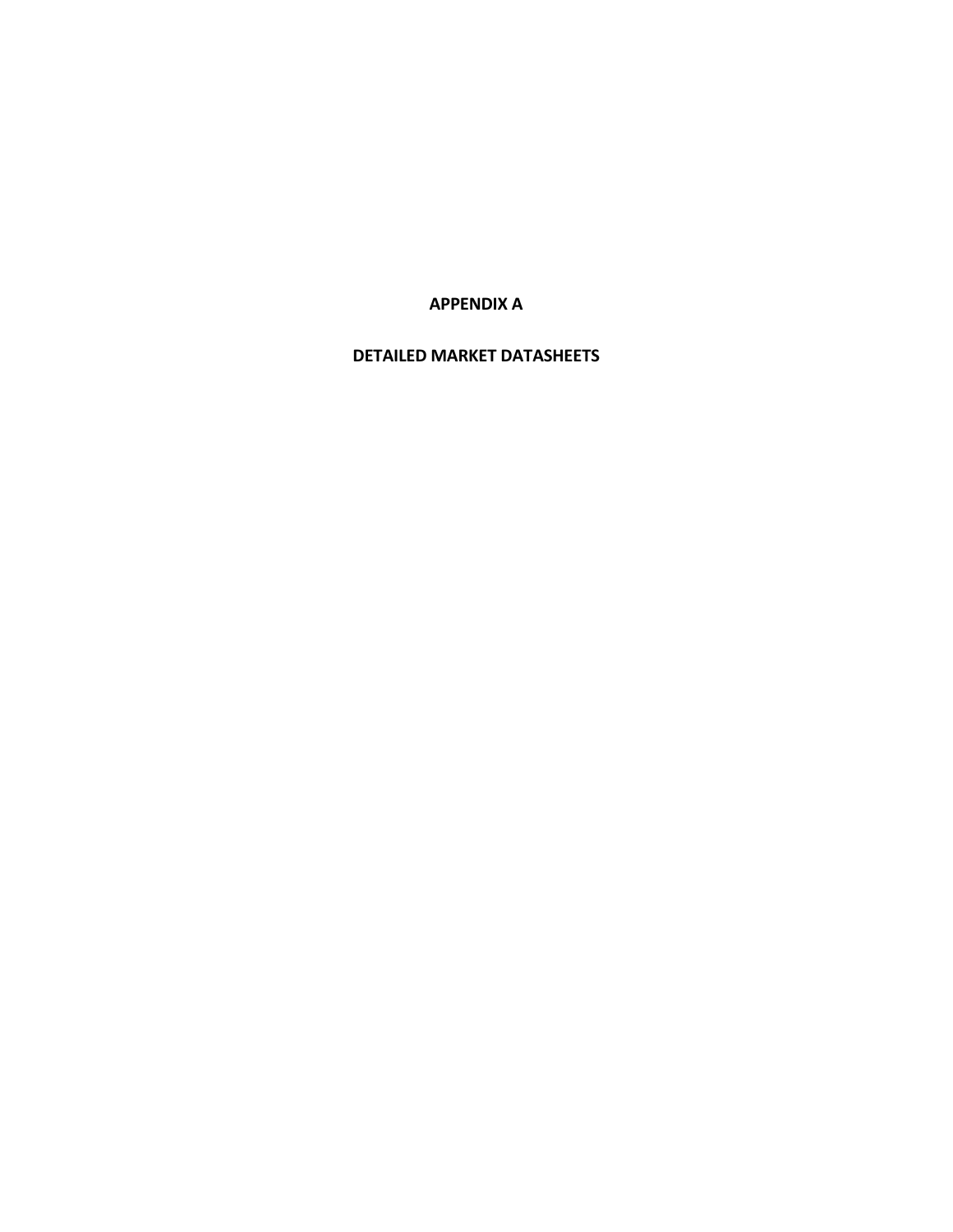**APPENDIX A**

**DETAILED MARKET DATASHEETS**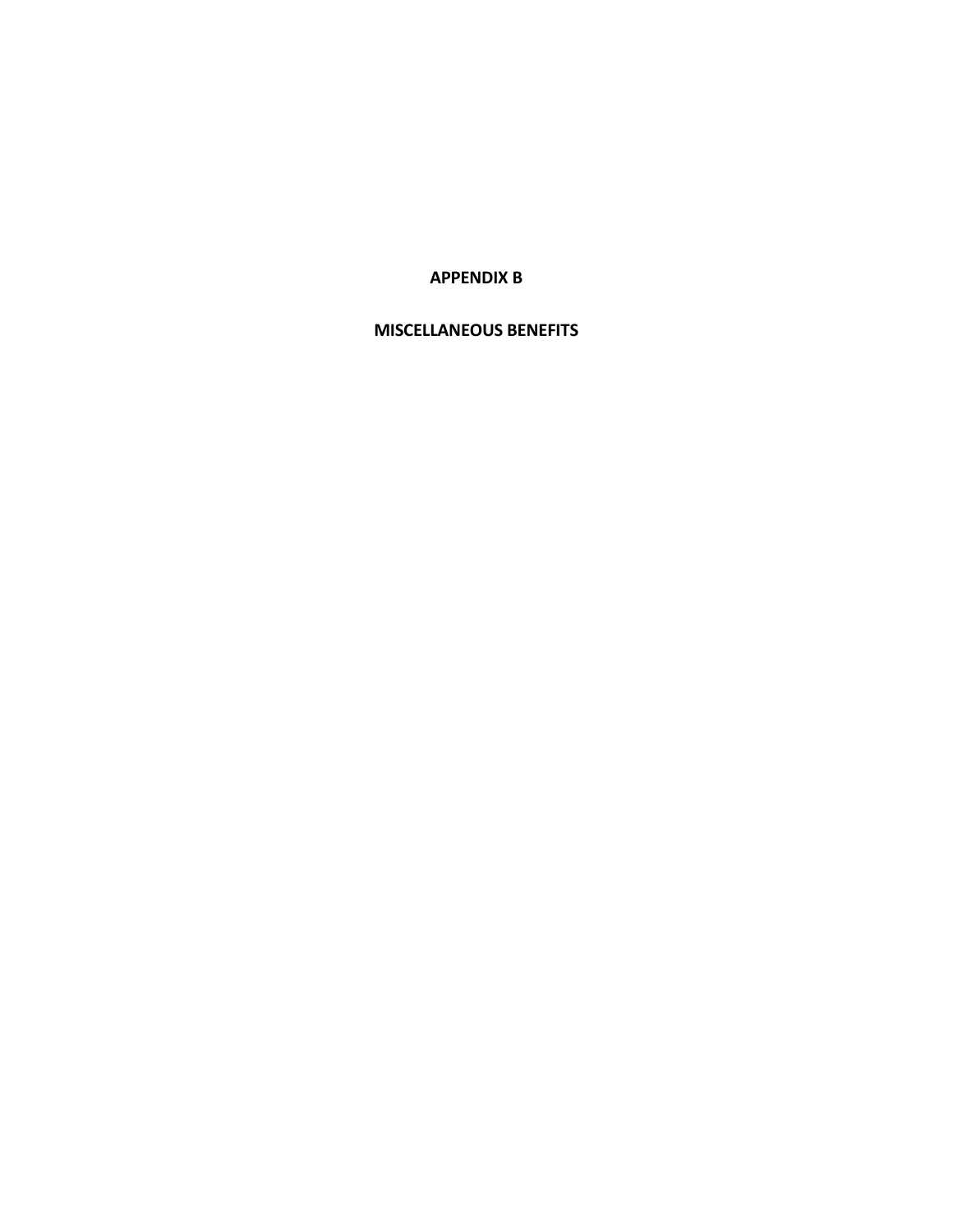**APPENDIX B**

#### **MISCELLANEOUS BENEFITS**